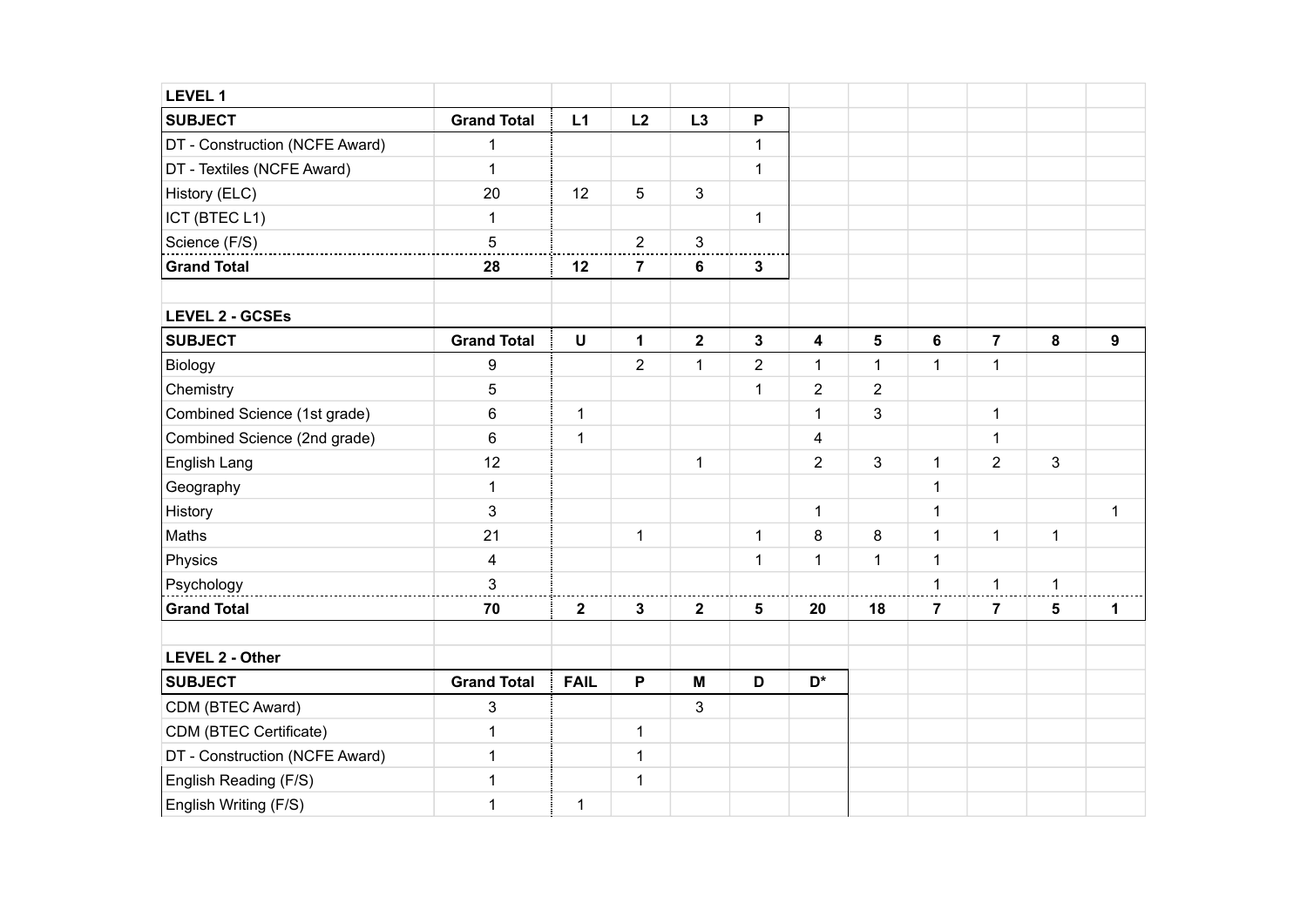| LEVEL 1                        |                         |                |                |                         |                |                         |                |                |                |                 |                  |
|--------------------------------|-------------------------|----------------|----------------|-------------------------|----------------|-------------------------|----------------|----------------|----------------|-----------------|------------------|
| <b>SUBJECT</b>                 | <b>Grand Total</b>      | L1             | L2             | L3                      | P              |                         |                |                |                |                 |                  |
| DT - Construction (NCFE Award) | 1                       |                |                |                         | $\mathbf{1}$   |                         |                |                |                |                 |                  |
| DT - Textiles (NCFE Award)     | $\mathbf{1}$            |                |                |                         | $\mathbf{1}$   |                         |                |                |                |                 |                  |
| History (ELC)                  | 20                      | 12             | 5              | 3                       |                |                         |                |                |                |                 |                  |
| ICT (BTEC L1)                  | $\mathbf{1}$            |                |                |                         | $\mathbf{1}$   |                         |                |                |                |                 |                  |
| Science (F/S)                  | $\overline{5}$          |                | $\overline{2}$ | $\mathbf{3}$            |                |                         |                |                |                |                 |                  |
| <b>Grand Total</b>             | 28                      | 12             | $\overline{7}$ | 6                       | 3              |                         |                |                |                |                 |                  |
| <b>LEVEL 2 - GCSEs</b>         |                         |                |                |                         |                |                         |                |                |                |                 |                  |
| <b>SUBJECT</b>                 | <b>Grand Total</b>      | U              | $\mathbf 1$    | $\overline{\mathbf{2}}$ | 3              | $\overline{\mathbf{4}}$ | $\sqrt{5}$     | 6              | $\overline{7}$ | 8               | $\boldsymbol{9}$ |
| Biology                        | $\boldsymbol{9}$        |                | $\overline{2}$ | $\mathbf{1}$            | $\overline{2}$ | 1                       | $\mathbf 1$    | $\mathbf{1}$   | $\mathbf{1}$   |                 |                  |
| Chemistry                      | 5                       |                |                |                         | $\mathbf{1}$   | $\overline{c}$          | $\overline{2}$ |                |                |                 |                  |
| Combined Science (1st grade)   | 6                       | $\mathbf{1}$   |                |                         |                | $\mathbf{1}$            | 3              |                | $\mathbf{1}$   |                 |                  |
| Combined Science (2nd grade)   | $\,6$                   | $\mathbf{1}$   |                |                         |                | $\overline{\mathbf{4}}$ |                |                | $\mathbf 1$    |                 |                  |
| English Lang                   | 12                      |                |                | $\mathbf{1}$            |                | $\overline{2}$          | 3              | $\mathbf{1}$   | $\overline{2}$ | 3               |                  |
| Geography                      | 1                       |                |                |                         |                |                         |                | $\mathbf{1}$   |                |                 |                  |
| History                        | 3                       |                |                |                         |                | $\mathbf{1}$            |                | $\mathbf{1}$   |                |                 | $\mathbf{1}$     |
| Maths                          | 21                      |                | $\mathbf 1$    |                         | $\mathbf{1}$   | 8                       | $\bf 8$        | $\mathbf{1}$   | $\mathbf{1}$   | $\mathbf 1$     |                  |
| Physics                        | $\overline{\mathbf{4}}$ |                |                |                         | $\mathbf{1}$   | $\mathbf{1}$            | $\mathbf{1}$   | $\mathbf{1}$   |                |                 |                  |
| Psychology                     | 3                       |                |                |                         |                |                         |                | $\mathbf{1}$   | $\mathbf{1}$   | $\mathbf 1$     |                  |
| <b>Grand Total</b>             | 70                      | $\overline{2}$ | $\mathbf{3}$   | $\mathbf{2}$            | 5              | 20                      | 18             | $\overline{7}$ | $\overline{7}$ | $5\phantom{.0}$ | 1                |
| <b>LEVEL 2 - Other</b>         |                         |                |                |                         |                |                         |                |                |                |                 |                  |
| <b>SUBJECT</b>                 | <b>Grand Total</b>      | <b>FAIL</b>    | P              | M                       | D              | D <sup>*</sup>          |                |                |                |                 |                  |
| CDM (BTEC Award)               | 3                       |                |                | $\mathfrak{S}$          |                |                         |                |                |                |                 |                  |
| CDM (BTEC Certificate)         | 1                       |                | $\mathbf 1$    |                         |                |                         |                |                |                |                 |                  |
| DT - Construction (NCFE Award) | 1                       |                | $\mathbf 1$    |                         |                |                         |                |                |                |                 |                  |
| English Reading (F/S)          | 1                       |                | $\mathbf 1$    |                         |                |                         |                |                |                |                 |                  |
| English Writing (F/S)          | 1                       | $\mathbf{1}$   |                |                         |                |                         |                |                |                |                 |                  |